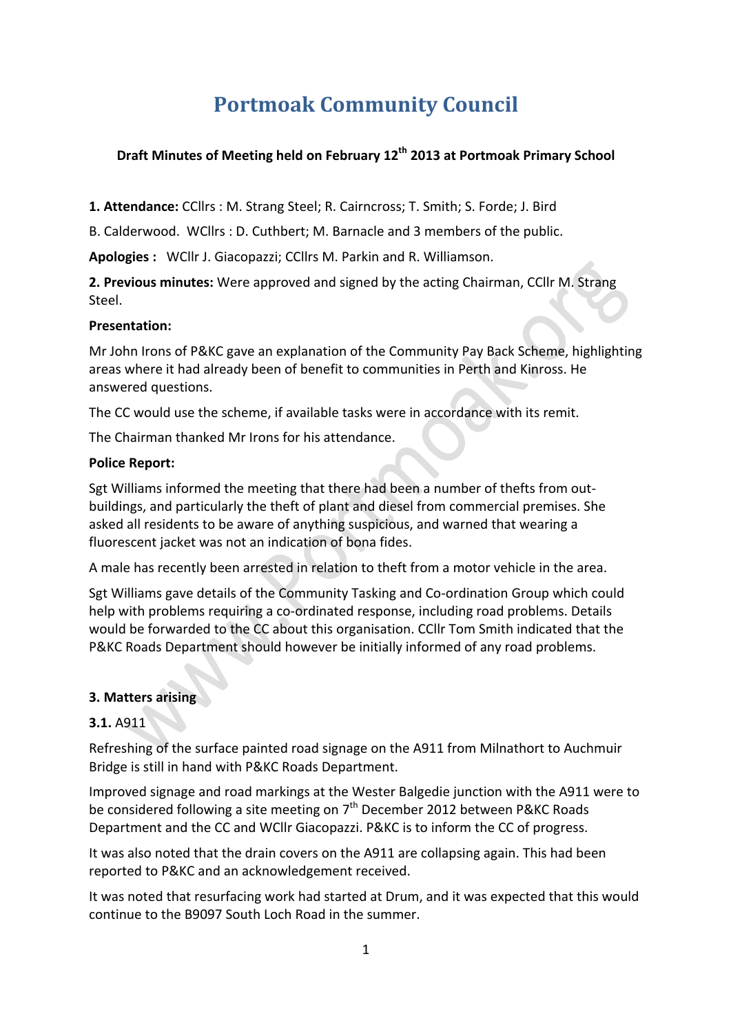# **Portmoak Community Council**

## **Draft Minutes of Meeting held on February 12<sup>th</sup> 2013 at Portmoak Primary School**

1. Attendance: CCllrs : M. Strang Steel; R. Cairncross; T. Smith; S. Forde; J. Bird

B. Calderwood. WCllrs : D. Cuthbert; M. Barnacle and 3 members of the public.

Apologies : WCllr J. Giacopazzi; CCllrs M. Parkin and R. Williamson.

**2. Previous minutes:** Were approved and signed by the acting Chairman, CCllr M. Strang Steel.

#### **Presentation:**

Mr John Irons of P&KC gave an explanation of the Community Pay Back Scheme, highlighting areas where it had already been of benefit to communities in Perth and Kinross. He answered questions.

The CC would use the scheme, if available tasks were in accordance with its remit.

The Chairman thanked Mr Irons for his attendance.

#### **Police Report:**

Sgt Williams informed the meeting that there had been a number of thefts from outbuildings, and particularly the theft of plant and diesel from commercial premises. She asked all residents to be aware of anything suspicious, and warned that wearing a fluorescent jacket was not an indication of bona fides.

A male has recently been arrested in relation to theft from a motor vehicle in the area.

Sgt Williams gave details of the Community Tasking and Co-ordination Group which could help with problems requiring a co-ordinated response, including road problems. Details would be forwarded to the CC about this organisation. CCllr Tom Smith indicated that the P&KC Roads Department should however be initially informed of any road problems.

#### **3. Matters arising**

#### **3.1.** A911

Refreshing of the surface painted road signage on the A911 from Milnathort to Auchmuir Bridge is still in hand with P&KC Roads Department.

Improved signage and road markings at the Wester Balgedie junction with the A911 were to be considered following a site meeting on  $7<sup>th</sup>$  December 2012 between P&KC Roads Department and the CC and WCllr Giacopazzi. P&KC is to inform the CC of progress.

It was also noted that the drain covers on the A911 are collapsing again. This had been reported to P&KC and an acknowledgement received.

It was noted that resurfacing work had started at Drum, and it was expected that this would continue to the B9097 South Loch Road in the summer.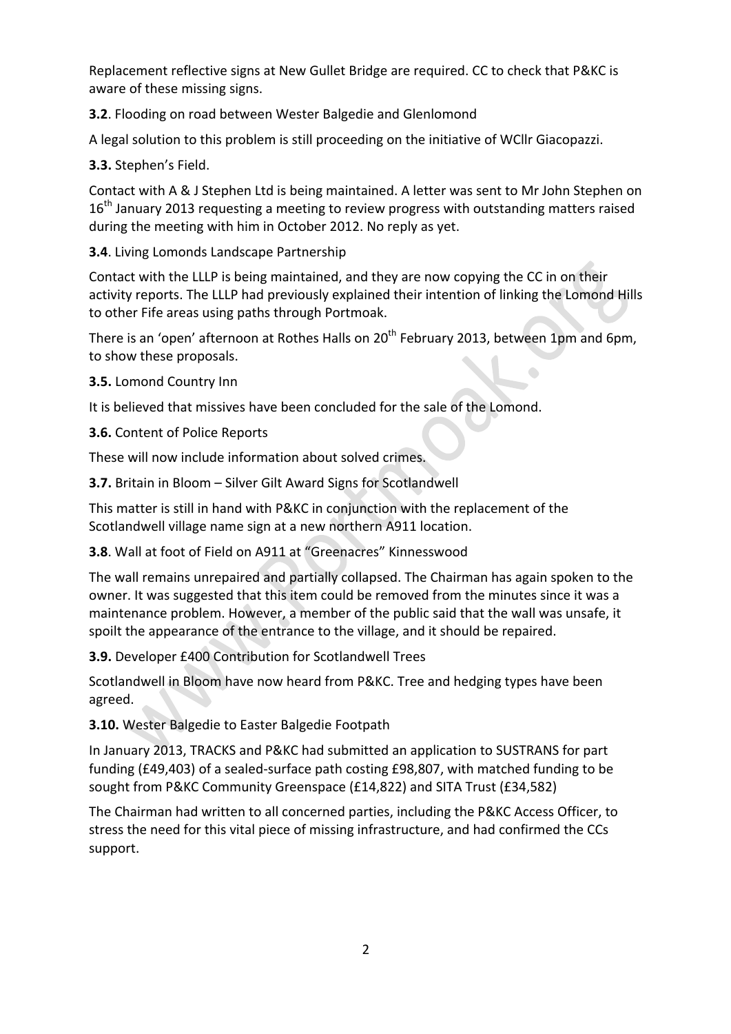Replacement reflective signs at New Gullet Bridge are required. CC to check that P&KC is aware of these missing signs.

**3.2**. Flooding on road between Wester Balgedie and Glenlomond

A legal solution to this problem is still proceeding on the initiative of WCllr Giacopazzi.

**3.3.** Stephen's Field.

Contact with A & J Stephen Ltd is being maintained. A letter was sent to Mr John Stephen on  $16<sup>th</sup>$  January 2013 requesting a meeting to review progress with outstanding matters raised during the meeting with him in October 2012. No reply as yet.

**3.4**. Living Lomonds Landscape Partnership

Contact with the LLLP is being maintained, and they are now copying the CC in on their activity reports. The LLLP had previously explained their intention of linking the Lomond Hills to other Fife areas using paths through Portmoak.

There is an 'open' afternoon at Rothes Halls on 20<sup>th</sup> February 2013, between 1pm and 6pm, to show these proposals.

**3.5.** Lomond Country Inn

It is believed that missives have been concluded for the sale of the Lomond.

**3.6.** Content of Police Reports

These will now include information about solved crimes.

**3.7.** Britain in Bloom - Silver Gilt Award Signs for Scotlandwell

This matter is still in hand with P&KC in conjunction with the replacement of the Scotlandwell village name sign at a new northern A911 location.

#### **3.8**. Wall at foot of Field on A911 at "Greenacres" Kinnesswood

The wall remains unrepaired and partially collapsed. The Chairman has again spoken to the owner. It was suggested that this item could be removed from the minutes since it was a maintenance problem. However, a member of the public said that the wall was unsafe, it spoilt the appearance of the entrance to the village, and it should be repaired.

**3.9.** Developer £400 Contribution for Scotlandwell Trees

Scotlandwell in Bloom have now heard from P&KC. Tree and hedging types have been agreed.

**3.10.** Wester Balgedie to Easter Balgedie Footpath

In January 2013, TRACKS and P&KC had submitted an application to SUSTRANS for part funding (£49,403) of a sealed-surface path costing £98,807, with matched funding to be sought from P&KC Community Greenspace (£14,822) and SITA Trust (£34,582)

The Chairman had written to all concerned parties, including the P&KC Access Officer, to stress the need for this vital piece of missing infrastructure, and had confirmed the CCs support.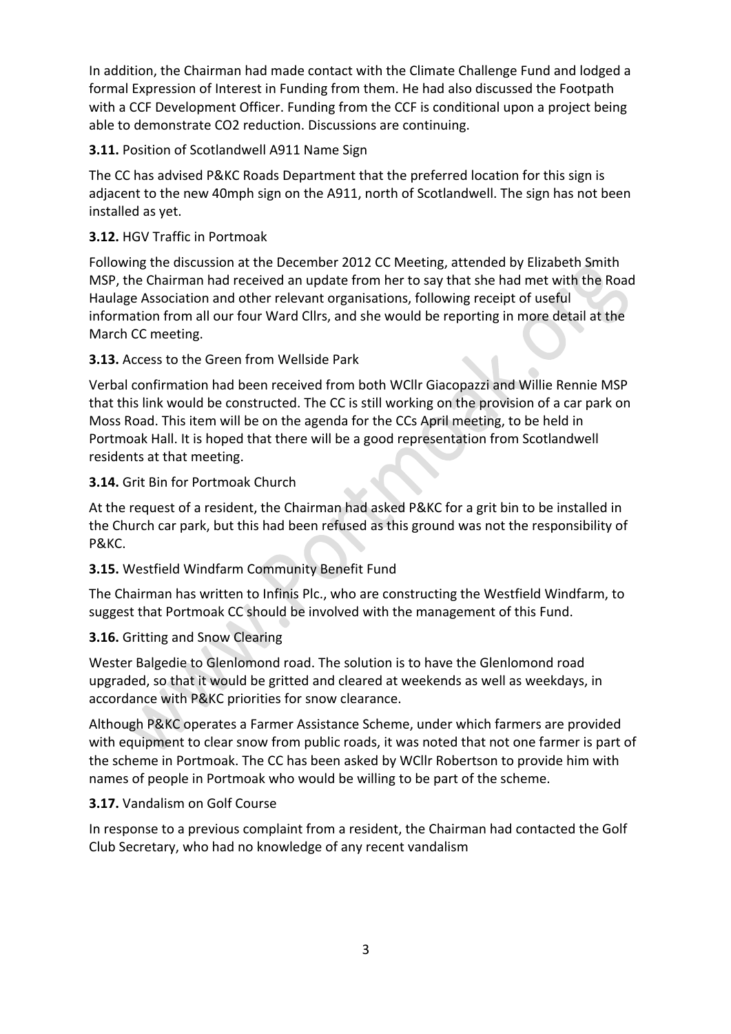In addition, the Chairman had made contact with the Climate Challenge Fund and lodged a formal Expression of Interest in Funding from them. He had also discussed the Footpath with a CCF Development Officer. Funding from the CCF is conditional upon a project being able to demonstrate CO2 reduction. Discussions are continuing.

## **3.11.** Position of Scotlandwell A911 Name Sign

The CC has advised P&KC Roads Department that the preferred location for this sign is adjacent to the new 40mph sign on the A911, north of Scotlandwell. The sign has not been installed as yet.

## **3.12.** HGV Traffic in Portmoak

Following the discussion at the December 2012 CC Meeting, attended by Elizabeth Smith MSP, the Chairman had received an update from her to say that she had met with the Road Haulage Association and other relevant organisations, following receipt of useful information from all our four Ward Cllrs, and she would be reporting in more detail at the March CC meeting.

# **3.13.** Access to the Green from Wellside Park

Verbal confirmation had been received from both WCllr Giacopazzi and Willie Rennie MSP that this link would be constructed. The CC is still working on the provision of a car park on Moss Road. This item will be on the agenda for the CCs April meeting, to be held in Portmoak Hall. It is hoped that there will be a good representation from Scotlandwell residents at that meeting.

## **3.14.** Grit Bin for Portmoak Church

At the request of a resident, the Chairman had asked P&KC for a grit bin to be installed in the Church car park, but this had been refused as this ground was not the responsibility of P&KC.

# **3.15.** Westfield Windfarm Community Benefit Fund

The Chairman has written to Infinis Plc., who are constructing the Westfield Windfarm, to suggest that Portmoak CC should be involved with the management of this Fund.

#### **3.16.** Gritting and Snow Clearing

Wester Balgedie to Glenlomond road. The solution is to have the Glenlomond road upgraded, so that it would be gritted and cleared at weekends as well as weekdays, in accordance with P&KC priorities for snow clearance.

Although P&KC operates a Farmer Assistance Scheme, under which farmers are provided with equipment to clear snow from public roads, it was noted that not one farmer is part of the scheme in Portmoak. The CC has been asked by WCllr Robertson to provide him with names of people in Portmoak who would be willing to be part of the scheme.

#### **3.17.** Vandalism on Golf Course

In response to a previous complaint from a resident, the Chairman had contacted the Golf Club Secretary, who had no knowledge of any recent vandalism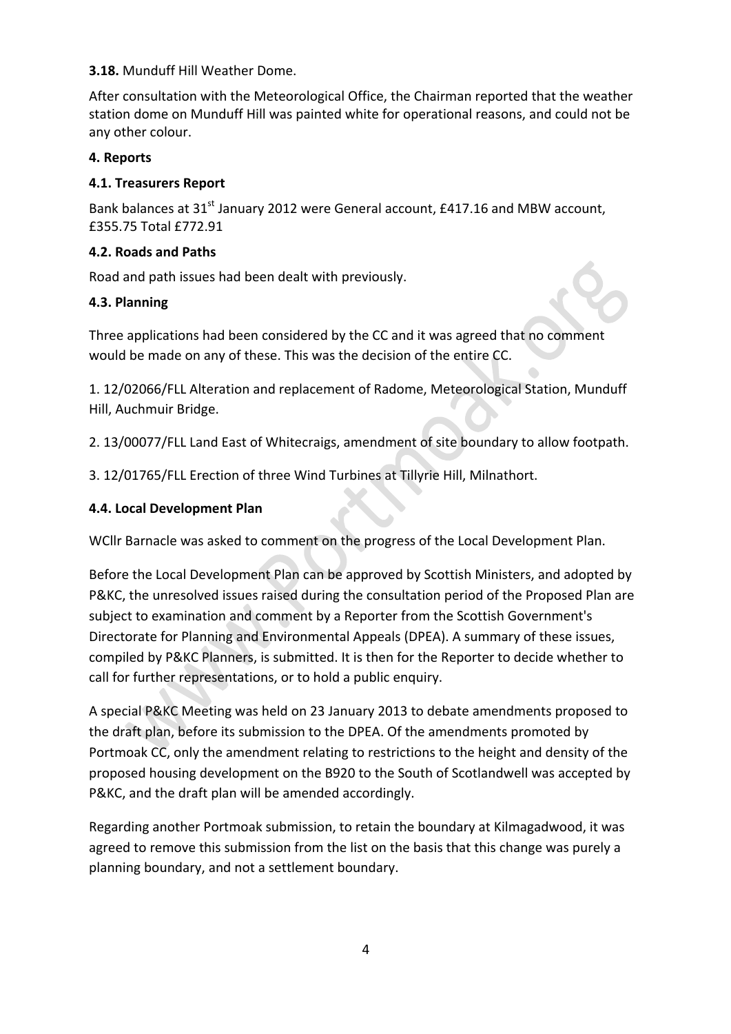## **3.18.** Munduff Hill Weather Dome.

After consultation with the Meteorological Office, the Chairman reported that the weather station dome on Munduff Hill was painted white for operational reasons, and could not be any other colour.

## **4. Reports**

## **4.1. Treasurers Report**

Bank balances at 31<sup>st</sup> January 2012 were General account, £417.16 and MBW account, £355.75 Total £772.91

## **4.2. Roads and Paths**

Road and path issues had been dealt with previously.

## **4.3. Planning**

Three applications had been considered by the CC and it was agreed that no comment would be made on any of these. This was the decision of the entire CC.

1. 12/02066/FLL Alteration and replacement of Radome, Meteorological Station, Munduff Hill, Auchmuir Bridge.

2. 13/00077/FLL Land East of Whitecraigs, amendment of site boundary to allow footpath.

3. 12/01765/FLL Erection of three Wind Turbines at Tillyrie Hill, Milnathort.

# **4.4. Local Development Plan**

WCllr Barnacle was asked to comment on the progress of the Local Development Plan.

Before the Local Development Plan can be approved by Scottish Ministers, and adopted by P&KC, the unresolved issues raised during the consultation period of the Proposed Plan are subject to examination and comment by a Reporter from the Scottish Government's Directorate for Planning and Environmental Appeals (DPEA). A summary of these issues, compiled by P&KC Planners, is submitted. It is then for the Reporter to decide whether to call for further representations, or to hold a public enquiry.

A special P&KC Meeting was held on 23 January 2013 to debate amendments proposed to the draft plan, before its submission to the DPEA. Of the amendments promoted by Portmoak CC, only the amendment relating to restrictions to the height and density of the proposed housing development on the B920 to the South of Scotlandwell was accepted by P&KC, and the draft plan will be amended accordingly.

Regarding another Portmoak submission, to retain the boundary at Kilmagadwood, it was agreed to remove this submission from the list on the basis that this change was purely a planning boundary, and not a settlement boundary.